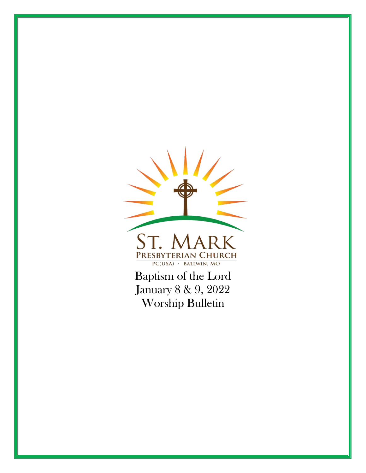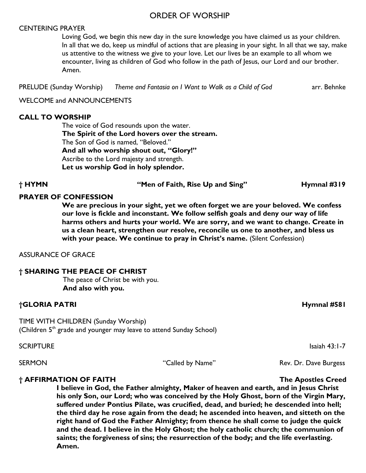### ORDER OF WORSHIP

#### CENTERING PRAYER

Loving God, we begin this new day in the sure knowledge you have claimed us as your children. In all that we do, keep us mindful of actions that are pleasing in your sight. In all that we say, make us attentive to the witness we give to your love. Let our lives be an example to all whom we encounter, living as children of God who follow in the path of Jesus, our Lord and our brother. Amen.

PRELUDE (Sunday Worship) *Theme and Fantasia on I Want to Walk as a Child of God* arr. Behnke

WELCOME and ANNOUNCEMENTS

#### **CALL TO WORSHIP**

The voice of God resounds upon the water. **The Spirit of the Lord hovers over the stream.** The Son of God is named, "Beloved." **And all who worship shout out, "Glory!"** Ascribe to the Lord majesty and strength. **Let us worship God in holy splendor.**

**† HYMN "Men of Faith, Rise Up and Sing" Hymnal #319**

### **PRAYER OF CONFESSION**

**We are precious in your sight, yet we often forget we are your beloved. We confess our love is fickle and inconstant. We follow selfish goals and deny our way of life harms others and hurts your world. We are sorry, and we want to change. Create in us a clean heart, strengthen our resolve, reconcile us one to another, and bless us with your peace. We continue to pray in Christ's name.** (Silent Confession)

ASSURANCE OF GRACE

#### **† SHARING THE PEACE OF CHRIST**

The peace of Christ be with you. **And also with you.**

#### **†GLORIA PATRI Hymnal #581**

TIME WITH CHILDREN (Sunday Worship) (Children  $5<sup>th</sup>$  grade and younger may leave to attend Sunday School)

SCRIPTURE Isaiah 43:1-7

SERMON THE CALLEG BY Name" Rev. Dr. Dave Burgess

#### **† AFFIRMATION OF FAITH The Apostles Creed**

**I believe in God, the Father almighty, Maker of heaven and earth, and in Jesus Christ his only Son, our Lord; who was conceived by the Holy Ghost, born of the Virgin Mary, suffered under Pontius Pilate, was crucified, dead, and buried; he descended into hell; the third day he rose again from the dead; he ascended into heaven, and sitteth on the right hand of God the Father Almighty; from thence he shall come to judge the quick and the dead. I believe in the Holy Ghost; the holy catholic church; the communion of saints; the forgiveness of sins; the resurrection of the body; and the life everlasting. Amen.**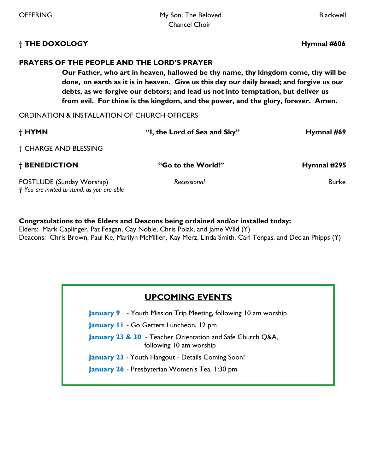#### **† THE DOXOLOGY Hymnal #606**

### **PRAYERS OF THE PEOPLE AND THE LORD'S PRAYER**

**Our Father, who art in heaven, hallowed be thy name, thy kingdom come, thy will be done, on earth as it is in heaven. Give us this day our daily bread; and forgive us our debts, as we forgive our debtors; and lead us not into temptation, but deliver us from evil. For thine is the kingdom, and the power, and the glory, forever. Amen.** 

ORDINATION & INSTALLATION OF CHURCH OFFICERS

| † HYMN                                                                   | "I, the Lord of Sea and Sky" | Hymnal #69   |
|--------------------------------------------------------------------------|------------------------------|--------------|
| † CHARGE AND BLESSING                                                    |                              |              |
| † BENEDICTION                                                            | "Go to the World!"           | Hymnal #295  |
| POSTLUDE (Sunday Worship)<br>† You are invited to stand, as you are able | Recessional                  | <b>Burke</b> |

#### **Congratulations to the Elders and Deacons being ordained and/or installed today:**

Elders: Mark Caplinger, Pat Feagan, Cay Noble, Chris Polak, and Jame Wild (Y) Deacons: Chris Brown, Paul Ke, Marilyn McMillen, Kay Merz, Linda Smith, Carl Tenpas, and Declan Phipps (Y)

## **UPCOMING EVENTS**

**January 9** - Youth Mission Trip Meeting, following 10 am worship

**January 11** - Go Getters Luncheon, 12 pm

**January 23 & 30** - Teacher Orientation and Safe Church Q&A, following 10 am worship

**January 23** - Youth Hangout - Details Coming Soon!

**January 26** - Presbyterian Women's Tea, 1:30 pm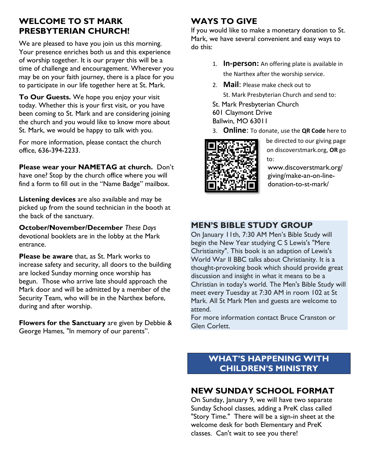# **WELCOME TO ST MARK PRESBYTERIAN CHURCH!**

We are pleased to have you join us this morning. Your presence enriches both us and this experience of worship together. It is our prayer this will be a time of challenge and encouragement. Wherever you may be on your faith journey, there is a place for you to participate in our life together here at St. Mark.

**To Our Guests.** We hope you enjoy your visit today. Whether this is your first visit, or you have been coming to St. Mark and are considering joining the church and you would like to know more about St. Mark, we would be happy to talk with you.

For more information, please contact the church office, 636-394-2233.

**Please wear your NAMETAG at church.** Don't have one? Stop by the church office where you will find a form to fill out in the "Name Badge" mailbox.

**Listening devices** are also available and may be picked up from the sound technician in the booth at the back of the sanctuary.

**October/November/December** *These Days* devotional booklets are in the lobby at the Mark entrance.

**Please be aware** that, as St. Mark works to increase safety and security, all doors to the building are locked Sunday morning once worship has begun. Those who arrive late should approach the Mark door and will be admitted by a member of the Security Team, who will be in the Narthex before, during and after worship.

**Flowers for the Sanctuary** are given by Debbie & George Hames, "In memory of our parents".

# **WAYS TO GIVE**

If you would like to make a monetary donation to St. Mark, we have several convenient and easy ways to do this:

- 1. **In-person:** An offering plate is available in the Narthex after the worship service.
- 2. **Mail**: Please make check out to
	- St. Mark Presbyterian Church and send to:
- St. Mark Presbyterian Church
- 601 Claymont Drive Ballwin, MO 63011
- 3. **Online**: To donate, use the **QR Code** here to



be directed to our giving page on discoverstmark.org, **OR** go to:

www.discoverstmark.org/ giving/make-an-on-linedonation-to-st-mark/

# **MEN'S BIBLE STUDY GROUP**

On January 11th, 7:30 AM Men's Bible Study will begin the New Year studying C S Lewis's "Mere Christianity". This book is an adaption of Lewis's World War II BBC talks about Christianity. It is a thought-provoking book which should provide great discussion and insight in what it means to be a Christian in today's world. The Men's Bible Study will meet every Tuesday at 7:30 AM in room 102 at St Mark. All St Mark Men and guests are welcome to attend.

For more information contact Bruce Cranston or Glen Corlett.

# **WHAT'S HAPPENING WITH CHILDREN'S MINISTRY**

# **NEW SUNDAY SCHOOL FORMAT**

On Sunday, January 9, we will have two separate Sunday School classes, adding a PreK class called "Story Time." There will be a sign-in sheet at the welcome desk for both Elementary and PreK classes. Can't wait to see you there!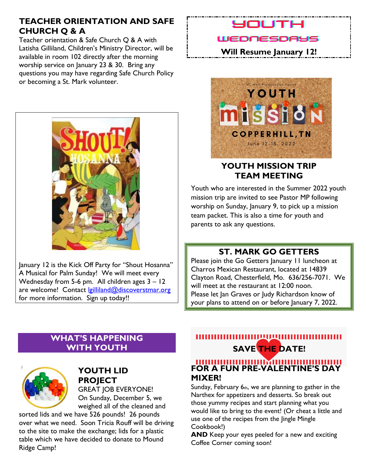# **TEACHER ORIENTATION AND SAFE CHURCH Q & A**

Teacher orientation & Safe Church Q & A with Latisha Gilliland, Children's Ministry Director, will be available in room 102 directly after the morning worship service on January 23 & 30. Bring any questions you may have regarding Safe Church Policy or becoming a St. Mark volunteer.



January 12 is the Kick Off Party for "Shout Hosanna" A Musical for Palm Sunday! We will meet every Wednesday from 5-6 pm. All children ages 3 – 12 are welcome! Contact [lgilliland@discoverstmar.org](mailto:lgilliland@discoverstmar.org) for more information. Sign up today!!

# HTUOL

## WEDNESDAYS

**Will Resume January 12!**



# **YOUTH MISSION TRIP TEAM MEETING**

Youth who are interested in the Summer 2022 youth mission trip are invited to see Pastor MP following worship on Sunday, January 9, to pick up a mission team packet. This is also a time for youth and parents to ask any questions.

# **ST. MARK GO GETTERS**

Please join the Go Getters January 11 luncheon at Charros Mexican Restaurant, located at 14839 Clayton Road, Chesterfield, Mo. 636/256-7071. We will meet at the restaurant at 12:00 noon. Please let Jan Graves or Judy Richardson know of your plans to attend on or before January 7, 2022.

# **WHAT'S HAPPENING WITH YOUTH**



# **YOUTH LID PROJECT**

GREAT JOB EVERYONE! On Sunday, December 5, we weighed all of the cleaned and

sorted lids and we have 526 pounds! 26 pounds over what we need. Soon Tricia Rouff will be driving to the site to make the exchange; lids for a plastic table which we have decided to donate to Mound Ridge Camp!

# ,,,,,,,,,,,,,,,  **SAVE THE DATE!**

# **FOR A FUN PRE-VALENTINE'S DAY MIXER!**

Sunday, February  $6<sub>th</sub>$ , we are planning to gather in the Narthex for appetizers and desserts. So break out those yummy recipes and start planning what you would like to bring to the event! (Or cheat a little and use one of the recipes from the Jingle Mingle Cookbook!)

**AND** Keep your eyes peeled for a new and exciting Coffee Corner coming soon!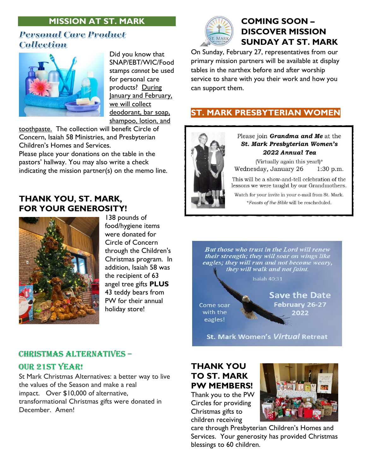# **MISSION AT ST. MARK**

# **Personal Care Product Collection**



Did you know that SNAP/EBT/WIC/Food stamps *cannot* be used for personal care products? During January and February, we will collect deodorant, bar soap, shampoo, lotion, and

toothpaste. The collection will benefit Circle of Concern, Isaiah 58 Ministries, and Presbyterian Children's Homes and Services.

Please place your donations on the table in the pastors' hallway. You may also write a check indicating the mission partner(s) on the memo line.

# **THANK YOU, ST. MARK, FOR YOUR GENEROSITY!**



138 pounds of food/hygiene items were donated for Circle of Concern through the Children's Christmas program. In addition, Isaiah 58 was the recipient of 63 angel tree gifts **PLUS** 43 teddy bears from PW for their annual holiday store!

#### Christmas Alternatives –

#### Our 21st Year!

St Mark Christmas Alternatives: a better way to live the values of the Season and make a real impact. Over \$10,000 of alternative, transformational Christmas gifts were donated in December. Amen!



# **COMING SOON – DISCOVER MISSION SUNDAY AT ST. MARK**

On Sunday, February 27, representatives from our primary mission partners will be available at display tables in the narthex before and after worship service to share with you their work and how you can support them.

# **ST. MARK PRESBYTERIAN WOMEN**



Please ioin Grandma and Me at the St. Mark Presbyterian Women's 2022 Annual Tea

(Virtually again this year!)\* Wednesday, January 26  $1:30$  p.m.

This will be a show-and-tell celebration of the lessons we were taught by our Grandmothers.

Watch for your invite in your e-mail from St. Mark. \*Feasts of the Bible will be rescheduled.

But those who trust in the Lord will renew their strength; they will soar on wings like eagles; they will run and not become weary, they will walk and not faint.

Isaiah 40:31

Come soar with the eagles!

**Save the Date** February 26-27 2022

**St. Mark Women's Virtual Retreat** 

# **THANK YOU TO ST. MARK PW MEMBERS!**

Thank you to the PW Circles for providing Christmas gifts to children receiving



care through Presbyterian Children's Homes and Services. Your generosity has provided Christmas blessings to 60 children.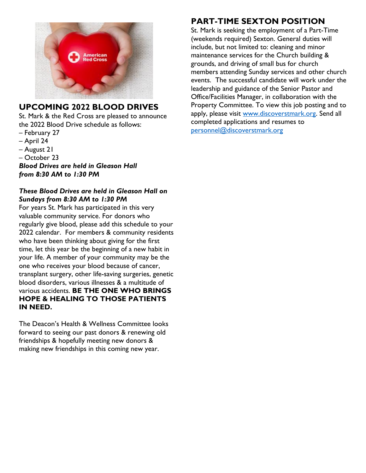

# **UPCOMING 2022 BLOOD DRIVES**

St. Mark & the Red Cross are pleased to announce the 2022 Blood Drive schedule as follows:

- February 27
- April 24
- August 21
- October 23

*Blood Drives are held in Gleason Hall from 8:30 AM to 1:30 PM*

### *These Blood Drives are held in Gleason Hall on Sundays from 8:30 AM to 1:30 PM*

For years St. Mark has participated in this very valuable community service. For donors who regularly give blood, please add this schedule to your 2022 calendar. For members & community residents who have been thinking about giving for the first time, let this year be the beginning of a new habit in your life. A member of your community may be the one who receives your blood because of cancer, transplant surgery, other life-saving surgeries, genetic blood disorders, various illnesses & a multitude of various accidents. **BE THE ONE WHO BRINGS HOPE & HEALING TO THOSE PATIENTS IN NEED.**

The Deacon's Health & Wellness Committee looks forward to seeing our past donors & renewing old friendships & hopefully meeting new donors & making new friendships in this coming new year.

# **PART-TIME SEXTON POSITION**

St. Mark is seeking the employment of a Part-Time (weekends required) Sexton. General duties will include, but not limited to: cleaning and minor maintenance services for the Church building & grounds, and driving of small bus for church members attending Sunday services and other church events. The successful candidate will work under the leadership and guidance of the Senior Pastor and Office/Facilities Manager, in collaboration with the Property Committee. To view this job posting and to apply, please visit [www.discoverstmark.org.](http://www.discoverstmark.org/) Send all completed applications and resumes to [personnel@discoverstmark.org](mailto:personnel@discoverstmark.org)